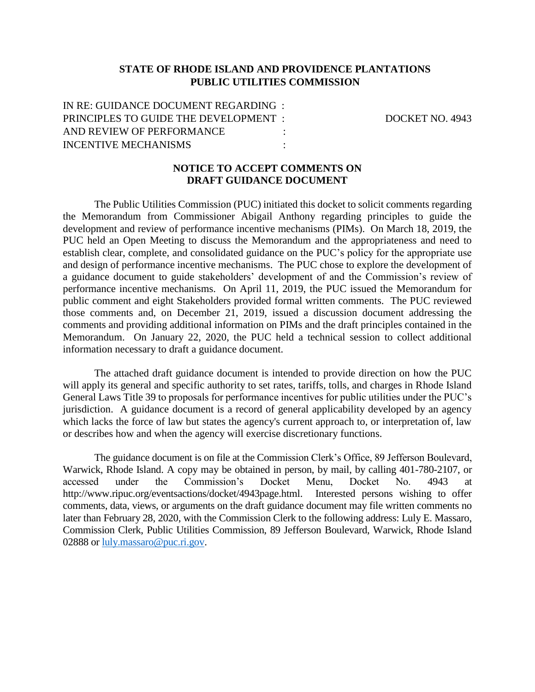### **STATE OF RHODE ISLAND AND PROVIDENCE PLANTATIONS PUBLIC UTILITIES COMMISSION**

IN RE: GUIDANCE DOCUMENT REGARDING : PRINCIPLES TO GUIDE THE DEVELOPMENT : DOCKET NO. 4943 AND REVIEW OF PERFORMANCE INCENTIVE MECHANISMS :

#### **NOTICE TO ACCEPT COMMENTS ON DRAFT GUIDANCE DOCUMENT**

The Public Utilities Commission (PUC) initiated this docket to solicit comments regarding the Memorandum from Commissioner Abigail Anthony regarding principles to guide the development and review of performance incentive mechanisms (PIMs). On March 18, 2019, the PUC held an Open Meeting to discuss the Memorandum and the appropriateness and need to establish clear, complete, and consolidated guidance on the PUC's policy for the appropriate use and design of performance incentive mechanisms. The PUC chose to explore the development of a guidance document to guide stakeholders' development of and the Commission's review of performance incentive mechanisms. On April 11, 2019, the PUC issued the Memorandum for public comment and eight Stakeholders provided formal written comments. The PUC reviewed those comments and, on December 21, 2019, issued a discussion document addressing the comments and providing additional information on PIMs and the draft principles contained in the Memorandum. On January 22, 2020, the PUC held a technical session to collect additional information necessary to draft a guidance document.

The attached draft guidance document is intended to provide direction on how the PUC will apply its general and specific authority to set rates, tariffs, tolls, and charges in Rhode Island General Laws Title 39 to proposals for performance incentives for public utilities under the PUC's jurisdiction. A guidance document is a record of general applicability developed by an agency which lacks the force of law but states the agency's current approach to, or interpretation of, law or describes how and when the agency will exercise discretionary functions.

The guidance document is on file at the Commission Clerk's Office, 89 Jefferson Boulevard, Warwick, Rhode Island. A copy may be obtained in person, by mail, by calling 401-780-2107, or accessed under the Commission's Docket Menu, Docket No. 4943 at http://www.ripuc.org/eventsactions/docket/4943page.html. Interested persons wishing to offer comments, data, views, or arguments on the draft guidance document may file written comments no later than February 28, 2020, with the Commission Clerk to the following address: Luly E. Massaro, Commission Clerk, Public Utilities Commission, 89 Jefferson Boulevard, Warwick, Rhode Island 02888 o[r luly.massaro@puc.ri.gov.](mailto:luly.massaro@puc.ri.gov)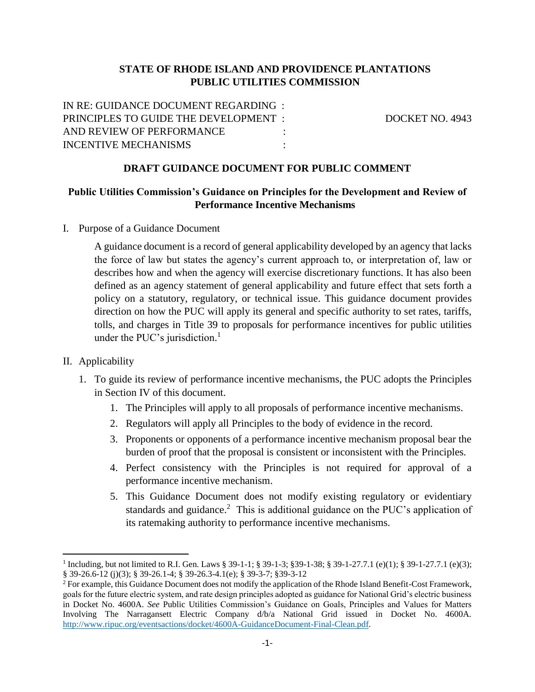## **STATE OF RHODE ISLAND AND PROVIDENCE PLANTATIONS PUBLIC UTILITIES COMMISSION**

IN RE: GUIDANCE DOCUMENT REGARDING : PRINCIPLES TO GUIDE THE DEVELOPMENT : DOCKET NO. 4943 AND REVIEW OF PERFORMANCE INCENTIVE MECHANISMS :

### **DRAFT GUIDANCE DOCUMENT FOR PUBLIC COMMENT**

## **Public Utilities Commission's Guidance on Principles for the Development and Review of Performance Incentive Mechanisms**

I. Purpose of a Guidance Document

A guidance document is a record of general applicability developed by an agency that lacks the force of law but states the agency's current approach to, or interpretation of, law or describes how and when the agency will exercise discretionary functions. It has also been defined as an agency statement of general applicability and future effect that sets forth a policy on a statutory, regulatory, or technical issue. This guidance document provides direction on how the PUC will apply its general and specific authority to set rates, tariffs, tolls, and charges in Title 39 to proposals for performance incentives for public utilities under the PUC's jurisdiction.<sup>1</sup>

#### II. Applicability

 $\overline{\phantom{a}}$ 

- 1. To guide its review of performance incentive mechanisms, the PUC adopts the Principles in Section IV of this document.
	- 1. The Principles will apply to all proposals of performance incentive mechanisms.
	- 2. Regulators will apply all Principles to the body of evidence in the record.
	- 3. Proponents or opponents of a performance incentive mechanism proposal bear the burden of proof that the proposal is consistent or inconsistent with the Principles.
	- 4. Perfect consistency with the Principles is not required for approval of a performance incentive mechanism.
	- 5. This Guidance Document does not modify existing regulatory or evidentiary standards and guidance.<sup>2</sup> This is additional guidance on the PUC's application of its ratemaking authority to performance incentive mechanisms.

<sup>1</sup> Including, but not limited to R.I. Gen. Laws § 39-1-1; § 39-1-3; §39-1-38; § 39-1-27.7.1 (e)(1); § 39-1-27.7.1 (e)(3); § 39-26.6-12 (j)(3); § 39-26.1-4; § 39-26.3-4.1(e); § 39-3-7; §39-3-12

<sup>&</sup>lt;sup>2</sup> For example, this Guidance Document does not modify the application of the Rhode Island Benefit-Cost Framework, goals for the future electric system, and rate design principles adopted as guidance for National Grid's electric business in Docket No. 4600A. *See* Public Utilities Commission's Guidance on Goals, Principles and Values for Matters Involving The Narragansett Electric Company d/b/a National Grid issued in Docket No. 4600A. [http://www.ripuc.org/eventsactions/docket/4600A-GuidanceDocument-Final-Clean.pdf.](http://www.ripuc.org/eventsactions/docket/4600A-GuidanceDocument-Final-Clean.pdf)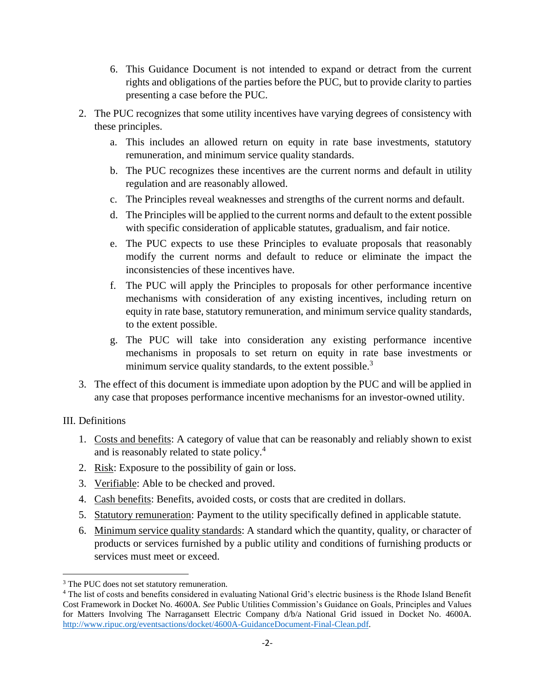- 6. This Guidance Document is not intended to expand or detract from the current rights and obligations of the parties before the PUC, but to provide clarity to parties presenting a case before the PUC.
- 2. The PUC recognizes that some utility incentives have varying degrees of consistency with these principles.
	- a. This includes an allowed return on equity in rate base investments, statutory remuneration, and minimum service quality standards.
	- b. The PUC recognizes these incentives are the current norms and default in utility regulation and are reasonably allowed.
	- c. The Principles reveal weaknesses and strengths of the current norms and default.
	- d. The Principles will be applied to the current norms and default to the extent possible with specific consideration of applicable statutes, gradualism, and fair notice.
	- e. The PUC expects to use these Principles to evaluate proposals that reasonably modify the current norms and default to reduce or eliminate the impact the inconsistencies of these incentives have.
	- f. The PUC will apply the Principles to proposals for other performance incentive mechanisms with consideration of any existing incentives, including return on equity in rate base, statutory remuneration, and minimum service quality standards, to the extent possible.
	- g. The PUC will take into consideration any existing performance incentive mechanisms in proposals to set return on equity in rate base investments or minimum service quality standards, to the extent possible.<sup>3</sup>
- 3. The effect of this document is immediate upon adoption by the PUC and will be applied in any case that proposes performance incentive mechanisms for an investor-owned utility.

# III. Definitions

- 1. Costs and benefits: A category of value that can be reasonably and reliably shown to exist and is reasonably related to state policy.<sup>4</sup>
- 2. Risk: Exposure to the possibility of gain or loss.
- 3. Verifiable: Able to be checked and proved.
- 4. Cash benefits: Benefits, avoided costs, or costs that are credited in dollars.
- 5. Statutory remuneration: Payment to the utility specifically defined in applicable statute.
- 6. Minimum service quality standards: A standard which the quantity, quality, or character of products or services furnished by a public utility and conditions of furnishing products or services must meet or exceed.

l <sup>3</sup> The PUC does not set statutory remuneration.

<sup>4</sup> The list of costs and benefits considered in evaluating National Grid's electric business is the Rhode Island Benefit Cost Framework in Docket No. 4600A. *See* Public Utilities Commission's Guidance on Goals, Principles and Values for Matters Involving The Narragansett Electric Company d/b/a National Grid issued in Docket No. 4600A. [http://www.ripuc.org/eventsactions/docket/4600A-GuidanceDocument-Final-Clean.pdf.](http://www.ripuc.org/eventsactions/docket/4600A-GuidanceDocument-Final-Clean.pdf)